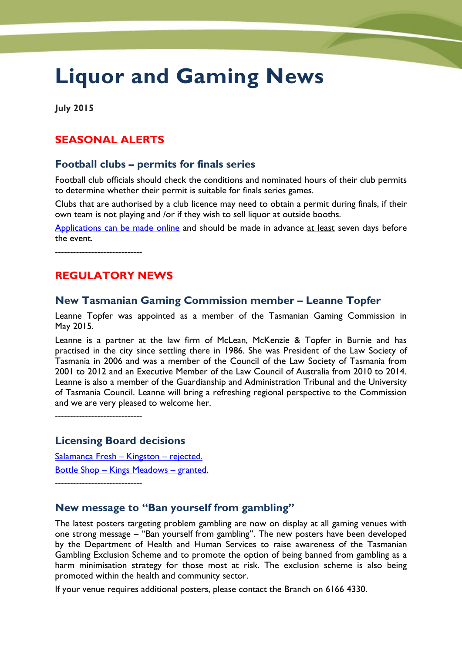# **Liquor and Gaming News**

**July 2015**

# **SEASONAL ALERTS**

## **Football clubs – permits for finals series**

Football club officials should check the conditions and nominated hours of their club permits to determine whether their permit is suitable for finals series games.

Clubs that are authorised by a club licence may need to obtain a permit during finals, if their own team is not playing and /or if they wish to sell liquor at outside booths.

[Applications can be made online](http://www.treasury.tas.gov.au/domino/dtf/dtf.nsf/6044ee0c1cf958a2ca256f2500108bba/e21170794309e22bca257d820017725a?OpenDocument) and should be made in advance at least seven days before the event.

-----------------------------

# **REGULATORY NEWS**

## **New Tasmanian Gaming Commission member – Leanne Topfer**

Leanne Topfer was appointed as a member of the Tasmanian Gaming Commission in May 2015.

Leanne is a partner at the law firm of McLean, McKenzie & Topfer in Burnie and has practised in the city since settling there in 1986. She was President of the Law Society of Tasmania in 2006 and was a member of the Council of the Law Society of Tasmania from 2001 to 2012 and an Executive Member of the Law Council of Australia from 2010 to 2014. Leanne is also a member of the Guardianship and Administration Tribunal and the University of Tasmania Council. Leanne will bring a refreshing regional perspective to the Commission and we are very pleased to welcome her.

-----------------------------

#### **Licensing Board decisions**

[Salamanca Fresh](http://www.treasury.tas.gov.au/domino/dtf/dtf.nsf/LookupFiles/WrittenDecisionSalamancaFreshKingston.PDF/$file/WrittenDecisionSalamancaFreshKingston.PDF) – Kingston – rejected. Bottle Shop – [Kings Meadows](http://www.treasury.tas.gov.au/domino/dtf/dtf.nsf/LookupFiles/WrittenDecisionKingsMeadows.PDF/$file/WrittenDecisionKingsMeadows.PDF) – granted. -----------------------------

#### **New message to "Ban yourself from gambling"**

The latest posters targeting problem gambling are now on display at all gaming venues with one strong message – "Ban yourself from gambling". The new posters have been developed by the Department of Health and Human Services to raise awareness of the Tasmanian Gambling Exclusion Scheme and to promote the option of being banned from gambling as a harm minimisation strategy for those most at risk. The exclusion scheme is also being promoted within the health and community sector.

If your venue requires additional posters, please contact the Branch on 6166 4330.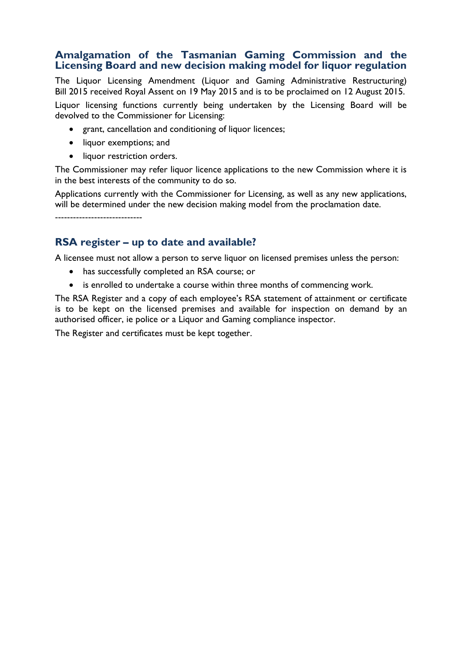#### **Amalgamation of the Tasmanian Gaming Commission and the Licensing Board and new decision making model for liquor regulation**

The Liquor Licensing Amendment (Liquor and Gaming Administrative Restructuring) Bill 2015 received Royal Assent on 19 May 2015 and is to be proclaimed on 12 August 2015. Liquor licensing functions currently being undertaken by the Licensing Board will be devolved to the Commissioner for Licensing:

- grant, cancellation and conditioning of liquor licences;
- liquor exemptions; and
- liquor restriction orders.

The Commissioner may refer liquor licence applications to the new Commission where it is in the best interests of the community to do so.

Applications currently with the Commissioner for Licensing, as well as any new applications, will be determined under the new decision making model from the proclamation date.

-----------------------------

## **RSA register – up to date and available?**

A licensee must not allow a person to serve liquor on licensed premises unless the person:

- has successfully completed an RSA course; or
- is enrolled to undertake a course within three months of commencing work.

The RSA Register and a copy of each employee's RSA statement of attainment or certificate is to be kept on the licensed premises and available for inspection on demand by an authorised officer, ie police or a Liquor and Gaming compliance inspector.

The Register and certificates must be kept together.